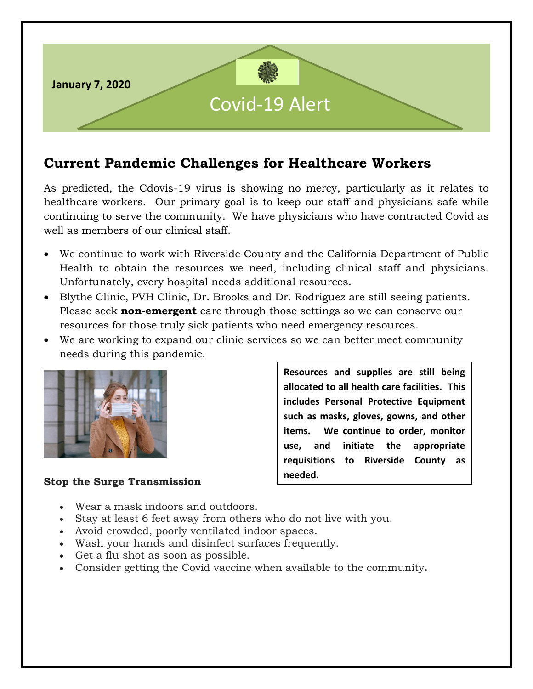

# **Current Pandemic Challenges for Healthcare Workers**

As predicted, the Cdovis-19 virus is showing no mercy, particularly as it relates to healthcare workers. Our primary goal is to keep our staff and physicians safe while continuing to serve the community. We have physicians who have contracted Covid as well as members of our clinical staff.

- We continue to work with Riverside County and the California Department of Public Health to obtain the resources we need, including clinical staff and physicians. Unfortunately, every hospital needs additional resources.
- Blythe Clinic, PVH Clinic, Dr. Brooks and Dr. Rodriguez are still seeing patients. Please seek **non-emergent** care through those settings so we can conserve our resources for those truly sick patients who need emergency resources.
- We are working to expand our clinic services so we can better meet community needs during this pandemic.



#### **Stop the Surge Transmission**

**Resources and supplies are still being allocated to all health care facilities. This includes Personal Protective Equipment such as masks, gloves, gowns, and other items. We continue to order, monitor use, and initiate the appropriate requisitions to Riverside County as needed.**

- Wear a mask indoors and outdoors.
- Stay at least 6 feet away from others who do not live with you.
- Avoid crowded, poorly ventilated indoor spaces.
- Wash your hands and disinfect surfaces frequently.
- Get a flu shot as soon as possible.
- Consider getting the Covid vaccine when available to the community**.**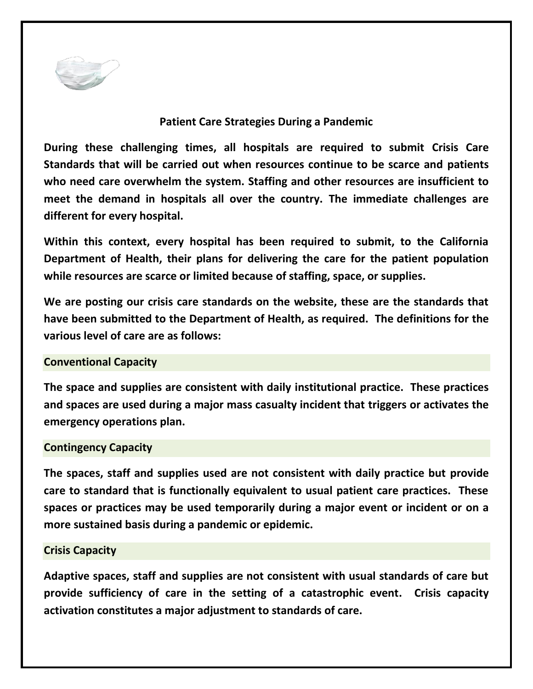

### **Patient Care Strategies During a Pandemic**

**During these challenging times, all hospitals are required to submit Crisis Care Standards that will be carried out when resources continue to be scarce and patients who need care overwhelm the system. Staffing and other resources are insufficient to meet the demand in hospitals all over the country. The immediate challenges are different for every hospital.**

**Within this context, every hospital has been required to submit, to the California Department of Health, their plans for delivering the care for the patient population while resources are scarce or limited because of staffing, space, or supplies.** 

**We are posting our crisis care standards on the website, these are the standards that have been submitted to the Department of Health, as required. The definitions for the various level of care are as follows:**

#### **Conventional Capacity**

**The space and supplies are consistent with daily institutional practice. These practices and spaces are used during a major mass casualty incident that triggers or activates the emergency operations plan.**

#### **Contingency Capacity**

**The spaces, staff and supplies used are not consistent with daily practice but provide care to standard that is functionally equivalent to usual patient care practices. These spaces or practices may be used temporarily during a major event or incident or on a more sustained basis during a pandemic or epidemic.**

## **Crisis Capacity**

**Adaptive spaces, staff and supplies are not consistent with usual standards of care but provide sufficiency of care in the setting of a catastrophic event. Crisis capacity activation constitutes a major adjustment to standards of care.**